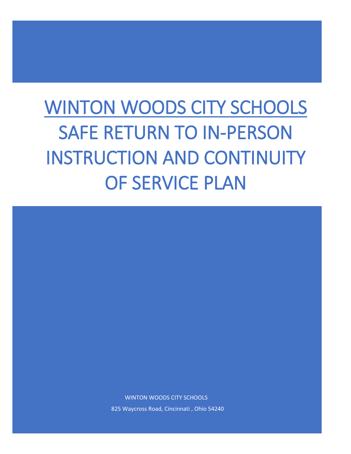# WINTON WOODS CITY SCHOOLS SAFE RETURN TO IN-PERSON INSTRUCTION AND CONTINUITY OF SERVICE PLAN



825 Waycross Road, Cincinnati , Ohio 54240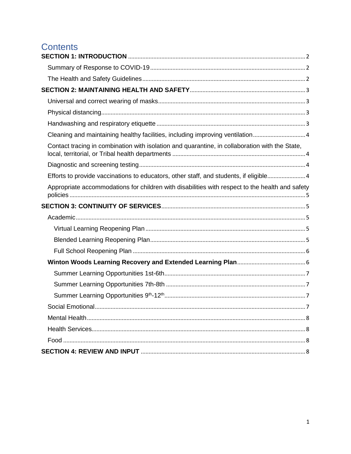## **Contents**

| Cleaning and maintaining healthy facilities, including improving ventilation                    |  |
|-------------------------------------------------------------------------------------------------|--|
| Contact tracing in combination with isolation and quarantine, in collaboration with the State,  |  |
|                                                                                                 |  |
| Efforts to provide vaccinations to educators, other staff, and students, if eligible4           |  |
| Appropriate accommodations for children with disabilities with respect to the health and safety |  |
|                                                                                                 |  |
|                                                                                                 |  |
|                                                                                                 |  |
|                                                                                                 |  |
|                                                                                                 |  |
|                                                                                                 |  |
|                                                                                                 |  |
|                                                                                                 |  |
|                                                                                                 |  |
|                                                                                                 |  |
|                                                                                                 |  |
|                                                                                                 |  |
|                                                                                                 |  |
|                                                                                                 |  |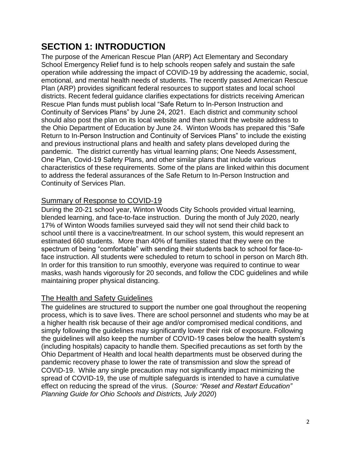## <span id="page-2-0"></span>**SECTION 1: INTRODUCTION**

The purpose of the American Rescue Plan (ARP) Act Elementary and Secondary School Emergency Relief fund is to help schools reopen safely and sustain the safe operation while addressing the impact of COVID-19 by addressing the academic, social, emotional, and mental health needs of students. The recently passed American Rescue Plan (ARP) provides significant federal resources to support states and local school districts. Recent federal guidance clarifies expectations for districts receiving American Rescue Plan funds must publish local "Safe Return to In-Person Instruction and Continuity of Services Plans" by June 24, 2021. Each district and community school should also post the plan on its local website and then submit the website address to the Ohio Department of Education by June 24. Winton Woods has prepared this "Safe Return to In-Person Instruction and Continuity of Services Plans" to include the existing and previous instructional plans and health and safety plans developed during the pandemic. The district currently has virtual learning plans; One Needs Assessment, One Plan, Covid-19 Safety Plans, and other similar plans that include various characteristics of these requirements. Some of the plans are linked within this document to address the federal assurances of the Safe Return to In-Person Instruction and Continuity of Services Plan.

#### <span id="page-2-1"></span>Summary of Response to COVID-19

During the 20-21 school year, Winton Woods City Schools provided virtual learning, blended learning, and face-to-face instruction. During the month of July 2020, nearly 17% of Winton Woods families surveyed said they will not send their child back to school until there is a vaccine/treatment. In our school system, this would represent an estimated 660 students. More than 40% of families stated that they were on the spectrum of being "comfortable" with sending their students back to school for face-toface instruction. All students were scheduled to return to school in person on March 8th. In order for this transition to run smoothly, everyone was required to continue to wear masks, wash hands vigorously for 20 seconds, and follow the CDC guidelines and while maintaining proper physical distancing.

#### <span id="page-2-2"></span>The Health and Safety Guidelines

The guidelines are structured to support the number one goal throughout the reopening process, which is to save lives. There are school personnel and students who may be at a higher health risk because of their age and/or compromised medical conditions, and simply following the guidelines may significantly lower their risk of exposure. Following the guidelines will also keep the number of COVID-19 cases below the health system's (including hospitals) capacity to handle them. Specified precautions as set forth by the Ohio Department of Health and local health departments must be observed during the pandemic recovery phase to lower the rate of transmission and slow the spread of COVID-19. While any single precaution may not significantly impact minimizing the spread of COVID-19, the use of multiple safeguards is intended to have a cumulative effect on reducing the spread of the virus. (*Source: "Reset and Restart Education" Planning Guide for Ohio Schools and Districts, July 2020*)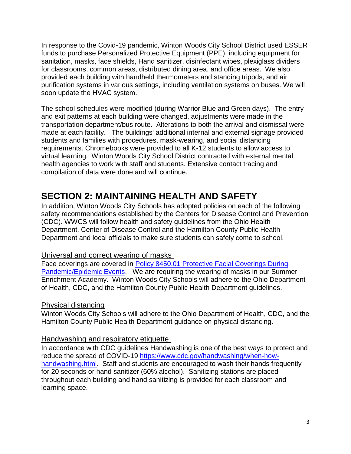In response to the Covid-19 pandemic, Winton Woods City School District used ESSER funds to purchase Personalized Protective Equipment (PPE), including equipment for sanitation, masks, face shields, Hand sanitizer, disinfectant wipes, plexiglass dividers for classrooms, common areas, distributed dining area, and office areas. We also provided each building with handheld thermometers and standing tripods, and air purification systems in various settings, including ventilation systems on buses. We will soon update the HVAC system.

The school schedules were modified (during Warrior Blue and Green days). The entry and exit patterns at each building were changed, adjustments were made in the transportation department/bus route. Alterations to both the arrival and dismissal were made at each facility. The buildings' additional internal and external signage provided students and families with procedures, mask-wearing, and social distancing requirements. Chromebooks were provided to all K-12 students to allow access to virtual learning. Winton Woods City School District contracted with external mental health agencies to work with staff and students. Extensive contact tracing and compilation of data were done and will continue.

## <span id="page-3-0"></span>**SECTION 2: MAINTAINING HEALTH AND SAFETY**

In addition, Winton Woods City Schools has adopted policies on each of the following safety recommendations established by the Centers for Disease Control and Prevention (CDC). WWCS will follow health and safety guidelines from the Ohio Health Department, Center of Disease Control and the Hamilton County Public Health Department and local officials to make sure students can safely come to school.

#### <span id="page-3-1"></span>Universal and correct wearing of masks

Face coverings are covered in Policy 8450.01 Protective Facial Coverings During [Pandemic/Epidemic Events.](https://go.boarddocs.com/oh/winton/Board.nsf/Public) We are requiring the wearing of masks in our Summer Enrichment Academy. Winton Woods City Schools will adhere to the Ohio Department of Health, CDC, and the Hamilton County Public Health Department guidelines.

#### <span id="page-3-2"></span>Physical distancing

Winton Woods City Schools will adhere to the Ohio Department of Health, CDC, and the Hamilton County Public Health Department guidance on physical distancing.

#### <span id="page-3-3"></span>Handwashing and respiratory etiquette

In accordance with CDC guidelines Handwashing is one of the best ways to protect and reduce the spread of COVID-19 [https://www.cdc.gov/handwashing/when-how](https://www.cdc.gov/handwashing/when-how-handwashing.html)[handwashing.html.](https://www.cdc.gov/handwashing/when-how-handwashing.html) Staff and students are encouraged to wash their hands frequently for 20 seconds or hand sanitizer (60% alcohol). Sanitizing stations are placed throughout each building and hand sanitizing is provided for each classroom and learning space.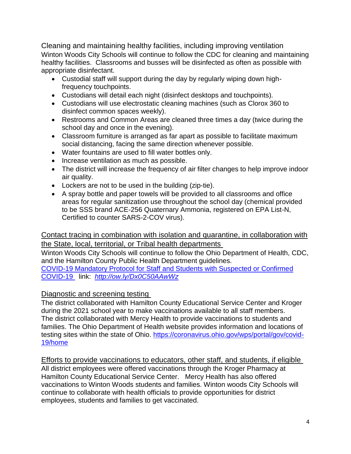<span id="page-4-0"></span>Cleaning and maintaining healthy facilities, including improving ventilation Winton Woods City Schools will continue to follow the CDC for cleaning and maintaining healthy facilities. Classrooms and busses will be disinfected as often as possible with appropriate disinfectant.

- Custodial staff will support during the day by regularly wiping down highfrequency touchpoints.
- Custodians will detail each night (disinfect desktops and touchpoints).
- Custodians will use electrostatic cleaning machines (such as Clorox 360 to disinfect common spaces weekly).
- Restrooms and Common Areas are cleaned three times a day (twice during the school day and once in the evening).
- Classroom furniture is arranged as far apart as possible to facilitate maximum social distancing, facing the same direction whenever possible.
- Water fountains are used to fill water bottles only.
- Increase ventilation as much as possible.
- The district will increase the frequency of air filter changes to help improve indoor air quality.
- Lockers are not to be used in the building (zip-tie).
- A spray bottle and paper towels will be provided to all classrooms and office areas for regular sanitization use throughout the school day (chemical provided to be SSS brand ACE-256 Quaternary Ammonia, registered on EPA List-N, Certified to counter SARS-2-COV virus).

#### <span id="page-4-1"></span>Contact tracing in combination with isolation and quarantine, in collaboration with the State, local, territorial, or Tribal health departments

Winton Woods City Schools will continue to follow the Ohio Department of Health, CDC, and the Hamilton County Public Health Department guidelines.

[COVID-19 Mandatory Protocol for Staff and Students with Suspected or Confirmed](https://docs.google.com/document/d/10ZiZPUnhSbE_Od_X7zGmQRsahxtG2xCjD5ojFojQOek/edit)  [COVID-19](https://docs.google.com/document/d/10ZiZPUnhSbE_Od_X7zGmQRsahxtG2xCjD5ojFojQOek/edit) link: *<http://ow.ly/Dx0C50AAwWz>*

#### <span id="page-4-2"></span>Diagnostic and screening testing

The district collaborated with Hamilton County Educational Service Center and Kroger during the 2021 school year to make vaccinations available to all staff members. The district collaborated with Mercy Health to provide vaccinations to students and families. The Ohio Department of Health website provides information and locations of testing sites within the state of Ohio. [https://coronavirus.ohio.gov/wps/portal/gov/covid-](https://coronavirus.ohio.gov/wps/portal/gov/covid-19/home)[19/home](https://coronavirus.ohio.gov/wps/portal/gov/covid-19/home)

<span id="page-4-3"></span>Efforts to provide vaccinations to educators, other staff, and students, if eligible All district employees were offered vaccinations through the Kroger Pharmacy at Hamilton County Educational Service Center. Mercy Health has also offered

vaccinations to Winton Woods students and families. Winton woods City Schools will continue to collaborate with health officials to provide opportunities for district employees, students and families to get vaccinated.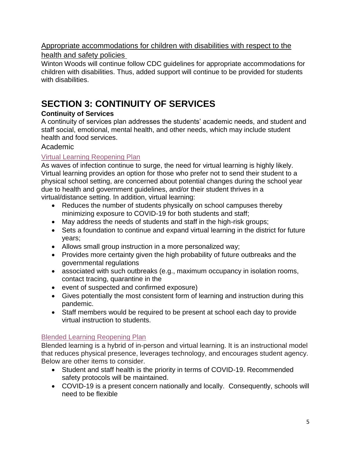## <span id="page-5-0"></span>Appropriate accommodations for children with disabilities with respect to the

#### health and safety policies

Winton Woods will continue follow CDC guidelines for appropriate accommodations for children with disabilities. Thus, added support will continue to be provided for students with disabilities.

## <span id="page-5-1"></span>**SECTION 3: CONTINUITY OF SERVICES**

#### **Continuity of Services**

A continuity of services plan addresses the students' academic needs, and student and staff social, emotional, mental health, and other needs, which may include student health and food services.

#### <span id="page-5-2"></span>Academic

#### <span id="page-5-3"></span>[Virtual Learning Reopening Plan](https://drive.google.com/file/d/1T8tlKtgZsmvitX_W_p1rtDvDNls4kzk0/view?usp=sharing)

As waves of infection continue to surge, the need for virtual learning is highly likely. Virtual learning provides an option for those who prefer not to send their student to a physical school setting, are concerned about potential changes during the school year due to health and government guidelines, and/or their student thrives in a virtual/distance setting. In addition, virtual learning:

- Reduces the number of students physically on school campuses thereby minimizing exposure to COVID-19 for both students and staff;
- May address the needs of students and staff in the high-risk groups;
- Sets a foundation to continue and expand virtual learning in the district for future years;
- Allows small group instruction in a more personalized way;
- Provides more certainty given the high probability of future outbreaks and the governmental regulations
- associated with such outbreaks (e.g., maximum occupancy in isolation rooms, contact tracing, quarantine in the
- event of suspected and confirmed exposure)
- Gives potentially the most consistent form of learning and instruction during this pandemic.
- Staff members would be required to be present at school each day to provide virtual instruction to students.

#### <span id="page-5-4"></span>[Blended Learning Reopening Plan](https://drive.google.com/file/d/1HbPjuubmjpZKHJzQK1tFhWMksvKya_kI/view?usp=sharing)

Blended learning is a hybrid of in-person and virtual learning. It is an instructional model that reduces physical presence, leverages technology, and encourages student agency. Below are other items to consider.

- Student and staff health is the priority in terms of COVID-19. Recommended safety protocols will be maintained.
- COVID-19 is a present concern nationally and locally. Consequently, schools will need to be flexible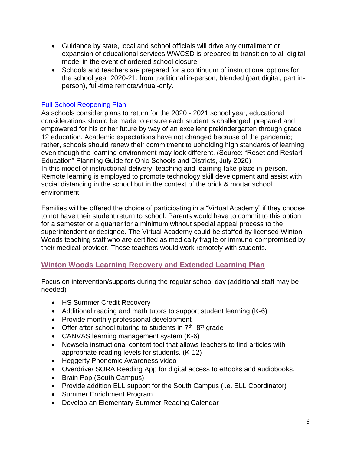- Guidance by state, local and school officials will drive any curtailment or expansion of educational services WWCSD is prepared to transition to all-digital model in the event of ordered school closure
- Schools and teachers are prepared for a continuum of instructional options for the school year 2020-21: from traditional in-person, blended (part digital, part inperson), full-time remote/virtual-only.

#### <span id="page-6-0"></span>[Full School Reopening Plan](https://drive.google.com/file/d/1ECjXqcyNJSmSi_2teoLtI3UUhOyavGuS/view?usp=sharing)

As schools consider plans to return for the 2020 - 2021 school year, educational considerations should be made to ensure each student is challenged, prepared and empowered for his or her future by way of an excellent prekindergarten through grade 12 education. Academic expectations have not changed because of the pandemic; rather, schools should renew their commitment to upholding high standards of learning even though the learning environment may look different. (Source: "Reset and Restart Education" Planning Guide for Ohio Schools and Districts, July 2020) In this model of instructional delivery, teaching and learning take place in-person. Remote learning is employed to promote technology skill development and assist with social distancing in the school but in the context of the brick & mortar school environment.

Families will be offered the choice of participating in a "Virtual Academy" if they choose to not have their student return to school. Parents would have to commit to this option for a semester or a quarter for a minimum without special appeal process to the superintendent or designee. The Virtual Academy could be staffed by licensed Winton Woods teaching staff who are certified as medically fragile or immuno-compromised by their medical provider. These teachers would work remotely with students.

#### <span id="page-6-1"></span>**[Winton Woods Learning Recovery and Extended Learning Plan](https://www.wintonwoods.org/userfiles/557/my%20files/learning%20recovery%20&%20extended%20learning%20plan%20ww.pdf?id=13855)**

Focus on intervention/supports during the regular school day (additional staff may be needed)

- HS Summer Credit Recovery
- Additional reading and math tutors to support student learning (K-6)
- Provide monthly professional development
- Offer after-school tutoring to students in  $7<sup>th</sup>$  -8<sup>th</sup> grade
- CANVAS learning management system (K-6)
- Newsela instructional content tool that allows teachers to find articles with appropriate reading levels for students. (K-12)
- Heggerty Phonemic Awareness video
- Overdrive/ SORA Reading App for digital access to eBooks and audiobooks.
- Brain Pop (South Campus)
- Provide addition ELL support for the South Campus (i.e. ELL Coordinator)
- Summer Enrichment Program
- Develop an Elementary Summer Reading Calendar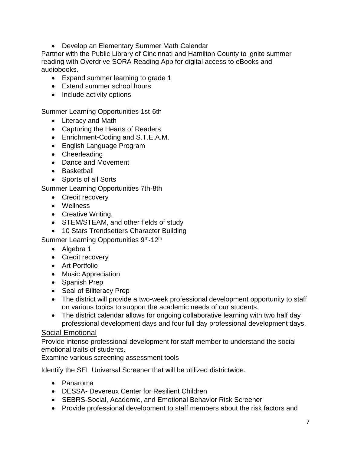• Develop an Elementary Summer Math Calendar

Partner with the Public Library of Cincinnati and Hamilton County to ignite summer reading with Overdrive SORA Reading App for digital access to eBooks and audiobooks.

- Expand summer learning to grade 1
- Extend summer school hours
- Include activity options

<span id="page-7-0"></span>Summer Learning Opportunities 1st-6th

- Literacy and Math
- Capturing the Hearts of Readers
- Enrichment-Coding and S.T.E.A.M.
- English Language Program
- Cheerleading
- Dance and Movement
- Basketball
- Sports of all Sorts

<span id="page-7-1"></span>Summer Learning Opportunities 7th-8th

- Credit recovery
- Wellness
- Creative Writing,
- STEM/STEAM, and other fields of study
- 10 Stars Trendsetters Character Building

<span id="page-7-2"></span>Summer Learning Opportunities 9<sup>th</sup>-12<sup>th</sup>

- Algebra 1
- Credit recovery
- Art Portfolio
- Music Appreciation
- Spanish Prep
- Seal of Biliteracy Prep
- The district will provide a two-week professional development opportunity to staff on various topics to support the academic needs of our students.
- The district calendar allows for ongoing collaborative learning with two half day professional development days and four full day professional development days.

#### <span id="page-7-3"></span>Social Emotional

Provide intense professional development for staff member to understand the social emotional traits of students.

Examine various screening assessment tools

Identify the SEL Universal Screener that will be utilized districtwide.

- Panaroma
- DESSA- Devereux Center for Resilient Children
- SEBRS-Social, Academic, and Emotional Behavior Risk Screener
- Provide professional development to staff members about the risk factors and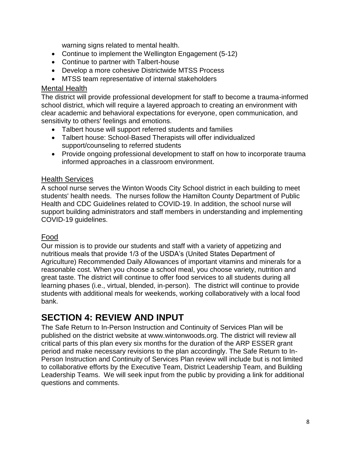warning signs related to mental health.

- Continue to implement the Wellington Engagement (5-12)
- Continue to partner with Talbert-house
- Develop a more cohesive Districtwide MTSS Process
- MTSS team representative of internal stakeholders

#### <span id="page-8-0"></span>Mental Health

The district will provide professional development for staff to become a trauma-informed school district, which will require a layered approach to creating an environment with clear academic and behavioral expectations for everyone, open communication, and sensitivity to others' feelings and emotions.

- Talbert house will support referred students and families
- Talbert house: School-Based Therapists will offer individualized support/counseling to referred students
- Provide ongoing professional development to staff on how to incorporate trauma informed approaches in a classroom environment.

#### <span id="page-8-1"></span>Health Services

A school nurse serves the Winton Woods City School district in each building to meet students' health needs. The nurses follow the Hamilton County Department of Public Health and CDC Guidelines related to COVID-19. In addition, the school nurse will support building administrators and staff members in understanding and implementing COVID-19 guidelines.

#### <span id="page-8-2"></span>Food

Our mission is to provide our students and staff with a variety of appetizing and nutritious meals that provide 1/3 of the USDA's (United States Department of Agriculture) Recommended Daily Allowances of important vitamins and minerals for a reasonable cost. When you choose a school meal, you choose variety, nutrition and great taste. The district will continue to offer food services to all students during all learning phases (i.e., virtual, blended, in-person). The district will continue to provide students with additional meals for weekends, working collaboratively with a local food bank.

### <span id="page-8-3"></span>**SECTION 4: REVIEW AND INPUT**

The Safe Return to In-Person Instruction and Continuity of Services Plan will be published on the district website at www.wintonwoods.org. The district will review all critical parts of this plan every six months for the duration of the ARP ESSER grant period and make necessary revisions to the plan accordingly. The Safe Return to In-Person Instruction and Continuity of Services Plan review will include but is not limited to collaborative efforts by the Executive Team, District Leadership Team, and Building Leadership Teams. We will seek input from the public by providing a link for additional questions and comments.